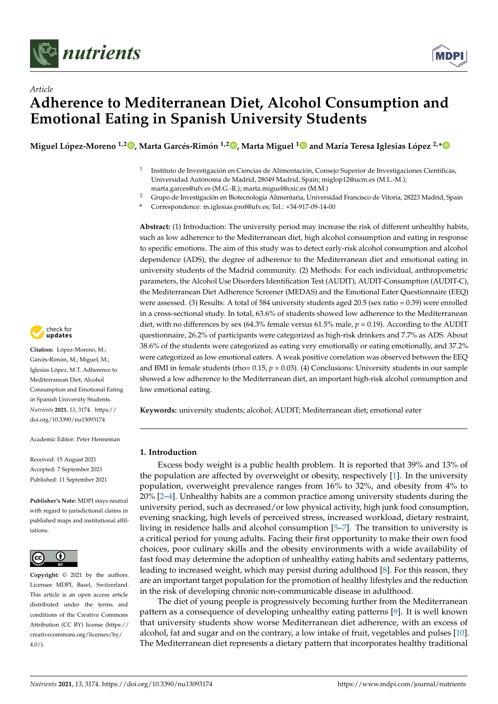

*Article*



# **Adherence to Mediterranean Diet, Alcohol Consumption and Emotional Eating in Spanish University Students**

Miguel López-Moreno <sup>1[,](https://orcid.org/0000-0002-3888-4150)2</sup>®, Marta Garcés-Rimón <sup>[1](https://orcid.org/0000-0002-5525-1056),2</sup>®, Marta Miguel <sup>1</sup>® and María Teresa Iglesias López <sup>2,</sup>[\\*](https://orcid.org/0000-0003-4511-5592)

- 1 Instituto de Investigación en Ciencias de Alimentación, Consejo Superior de Investigaciones Científicas, Universidad Autónoma de Madrid, 28049 Madrid, Spain; miglop12@ucm.es (M.L.-M.); marta.garces@ufv.es (M.G.-R.); marta.miguel@csic.es (M.M.)
- <sup>2</sup> Grupo de Investigación en Biotecnología Alimentaria, Universidad Francisco de Vitoria, 28223 Madrid, Spain
- **\*** Correspondence: m.iglesias.prof@ufv.es; Tel.: +34-917-09-14-00

**Abstract:** (1) Introduction: The university period may increase the risk of different unhealthy habits, such as low adherence to the Mediterranean diet, high alcohol consumption and eating in response to specific emotions. The aim of this study was to detect early-risk alcohol consumption and alcohol dependence (ADS), the degree of adherence to the Mediterranean diet and emotional eating in university students of the Madrid community. (2) Methods: For each individual, anthropometric parameters, the Alcohol Use Disorders Identification Test (AUDIT), AUDIT-Consumption (AUDIT-C), the Mediterranean Diet Adherence Screener (MEDAS) and the Emotional Eater Questionnaire (EEQ) were assessed. (3) Results: A total of 584 university students aged 20.5 (sex ratio = 0.39) were enrolled in a cross-sectional study. In total, 63.6% of students showed low adherence to the Mediterranean diet, with no differences by sex (64.3% female versus 61.5% male, *p* = 0.19). According to the AUDIT questionnaire, 26.2% of participants were categorized as high-risk drinkers and 7.7% as ADS. About 38.6% of the students were categorized as eating very emotionally or eating emotionally, and 37.2% were categorized as low emotional eaters. A weak positive correlation was observed between the EEQ and BMI in female students (rho= 0.15, *p* = 0.03). (4) Conclusions: University students in our sample showed a low adherence to the Mediterranean diet, an important high-risk alcohol consumption and low emotional eating.

**Keywords:** university students; alcohol; AUDIT; Mediterranean diet; emotional eater

# **1. Introduction**

Excess body weight is a public health problem. It is reported that 39% and 13% of the population are affected by overweight or obesity, respectively [\[1\]](#page-7-0). In the university population, overweight prevalence ranges from 16% to 32%, and obesity from 4% to 20% [\[2](#page-7-1)[–4\]](#page-8-0). Unhealthy habits are a common practice among university students during the university period, such as decreased/or low physical activity, high junk food consumption, evening snacking, high levels of perceived stress, increased workload, dietary restraint, living in residence halls and alcohol consumption [\[5](#page-8-1)[–7\]](#page-8-2). The transition to university is a critical period for young adults. Facing their first opportunity to make their own food choices, poor culinary skills and the obesity environments with a wide availability of fast food may determine the adoption of unhealthy eating habits and sedentary patterns, leading to increased weight, which may persist during adulthood [\[8\]](#page-8-3). For this reason, they are an important target population for the promotion of healthy lifestyles and the reduction in the risk of developing chronic non-communicable disease in adulthood.

The diet of young people is progressively becoming further from the Mediterranean pattern as a consequence of developing unhealthy eating patterns [\[9\]](#page-8-4). It is well known that university students show worse Mediterranean diet adherence, with an excess of alcohol, fat and sugar and on the contrary, a low intake of fruit, vegetables and pulses [\[10\]](#page-8-5). The Mediterranean diet represents a dietary pattern that incorporates healthy traditional



**Citation:** López-Moreno, M.; Garcés-Rimón, M.; Miguel, M.; Iglesias López, M.T. Adherence to Mediterranean Diet, Alcohol Consumption and Emotional Eating in Spanish University Students. *Nutrients* **2021**, *13*, 3174. [https://](https://doi.org/10.3390/nu13093174) [doi.org/10.3390/nu13093174](https://doi.org/10.3390/nu13093174)

Academic Editor: Peter Henneman

Received: 15 August 2021 Accepted: 7 September 2021 Published: 11 September 2021

**Publisher's Note:** MDPI stays neutral with regard to jurisdictional claims in published maps and institutional affiliations.



**Copyright:** © 2021 by the authors. Licensee MDPI, Basel, Switzerland. This article is an open access article distributed under the terms and conditions of the Creative Commons Attribution (CC BY) license (https:/[/](https://creativecommons.org/licenses/by/4.0/) [creativecommons.org/licenses/by/](https://creativecommons.org/licenses/by/4.0/)  $4.0/$ ).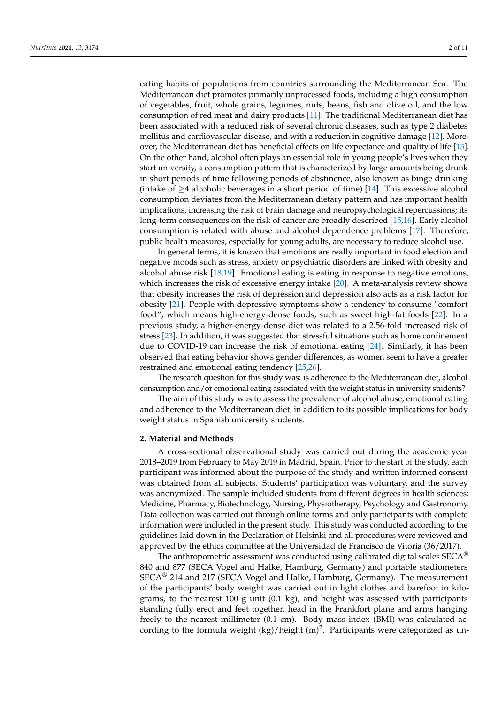eating habits of populations from countries surrounding the Mediterranean Sea. The Mediterranean diet promotes primarily unprocessed foods, including a high consumption of vegetables, fruit, whole grains, legumes, nuts, beans, fish and olive oil, and the low consumption of red meat and dairy products [\[11\]](#page-8-6). The traditional Mediterranean diet has been associated with a reduced risk of several chronic diseases, such as type 2 diabetes mellitus and cardiovascular disease, and with a reduction in cognitive damage [\[12\]](#page-8-7). Moreover, the Mediterranean diet has beneficial effects on life expectance and quality of life [\[13\]](#page-8-8). On the other hand, alcohol often plays an essential role in young people's lives when they start university, a consumption pattern that is characterized by large amounts being drunk in short periods of time following periods of abstinence, also known as binge drinking (intake of  $\geq$ 4 alcoholic beverages in a short period of time) [\[14\]](#page-8-9). This excessive alcohol consumption deviates from the Mediterranean dietary pattern and has important health implications, increasing the risk of brain damage and neuropsychological repercussions; its long-term consequences on the risk of cancer are broadly described [\[15](#page-8-10)[,16\]](#page-8-11). Early alcohol consumption is related with abuse and alcohol dependence problems [\[17\]](#page-8-12). Therefore, public health measures, especially for young adults, are necessary to reduce alcohol use.

In general terms, it is known that emotions are really important in food election and negative moods such as stress, anxiety or psychiatric disorders are linked with obesity and alcohol abuse risk [\[18](#page-8-13)[,19\]](#page-8-14). Emotional eating is eating in response to negative emotions, which increases the risk of excessive energy intake [\[20\]](#page-8-15). A meta-analysis review shows that obesity increases the risk of depression and depression also acts as a risk factor for obesity [\[21\]](#page-8-16). People with depressive symptoms show a tendency to consume "comfort food", which means high-energy-dense foods, such as sweet high-fat foods [\[22\]](#page-8-17). In a previous study, a higher-energy-dense diet was related to a 2.56-fold increased risk of stress [\[23\]](#page-8-18). In addition, it was suggested that stressful situations such as home confinement due to COVID-19 can increase the risk of emotional eating [\[24\]](#page-8-19). Similarly, it has been observed that eating behavior shows gender differences, as women seem to have a greater restrained and emotional eating tendency [\[25](#page-8-20)[,26\]](#page-8-21).

The research question for this study was: is adherence to the Mediterranean diet, alcohol consumption and/or emotional eating associated with the weight status in university students?

The aim of this study was to assess the prevalence of alcohol abuse, emotional eating and adherence to the Mediterranean diet, in addition to its possible implications for body weight status in Spanish university students.

## **2. Material and Methods**

A cross-sectional observational study was carried out during the academic year 2018–2019 from February to May 2019 in Madrid, Spain. Prior to the start of the study, each participant was informed about the purpose of the study and written informed consent was obtained from all subjects. Students' participation was voluntary, and the survey was anonymized. The sample included students from different degrees in health sciences: Medicine, Pharmacy, Biotechnology, Nursing, Physiotherapy, Psychology and Gastronomy. Data collection was carried out through online forms and only participants with complete information were included in the present study. This study was conducted according to the guidelines laid down in the Declaration of Helsinki and all procedures were reviewed and approved by the ethics committee at the Universidad de Francisco de Vitoria (36/2017).

The anthropometric assessment was conducted using calibrated digital scales  $\text{SECA}^{\circledR}$ 840 and 877 (SECA Vogel and Halke, Hamburg, Germany) and portable stadiometers SECA® 214 and 217 (SECA Vogel and Halke, Hamburg, Germany). The measurement of the participants' body weight was carried out in light clothes and barefoot in kilograms, to the nearest 100 g unit  $(0.1 \text{ kg})$ , and height was assessed with participants standing fully erect and feet together, head in the Frankfort plane and arms hanging freely to the nearest millimeter (0.1 cm). Body mass index (BMI) was calculated according to the formula weight  $(kg)/$ height  $(m)^2$ . Participants were categorized as un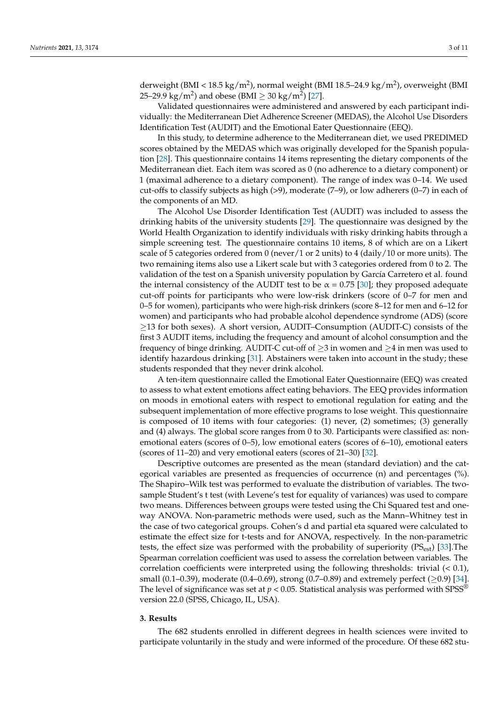derweight (BMI < 18.5 kg/m<sup>2</sup>), normal weight (BMI 18.5–24.9 kg/m<sup>2</sup>), overweight (BMI 25–29.9 kg/m<sup>2</sup>) and obese (BMI  $\geq 30$  kg/m<sup>2</sup>) [\[27\]](#page-8-22).

Validated questionnaires were administered and answered by each participant individually: the Mediterranean Diet Adherence Screener (MEDAS), the Alcohol Use Disorders Identification Test (AUDIT) and the Emotional Eater Questionnaire (EEQ).

In this study, to determine adherence to the Mediterranean diet, we used PREDIMED scores obtained by the MEDAS which was originally developed for the Spanish population [\[28\]](#page-8-23). This questionnaire contains 14 items representing the dietary components of the Mediterranean diet. Each item was scored as 0 (no adherence to a dietary component) or 1 (maximal adherence to a dietary component). The range of index was 0–14. We used cut-offs to classify subjects as high (>9), moderate (7–9), or low adherers (0–7) in each of the components of an MD.

The Alcohol Use Disorder Identification Test (AUDIT) was included to assess the drinking habits of the university students [\[29\]](#page-8-24). The questionnaire was designed by the World Health Organization to identify individuals with risky drinking habits through a simple screening test. The questionnaire contains 10 items, 8 of which are on a Likert scale of 5 categories ordered from 0 (never/1 or 2 units) to 4 (daily/10 or more units). The two remaining items also use a Likert scale but with 3 categories ordered from 0 to 2. The validation of the test on a Spanish university population by García Carretero et al. found the internal consistency of the AUDIT test to be  $\alpha$  = 0.75 [\[30\]](#page-8-25); they proposed adequate cut-off points for participants who were low-risk drinkers (score of 0–7 for men and 0–5 for women), participants who were high-risk drinkers (score 8–12 for men and 6–12 for women) and participants who had probable alcohol dependence syndrome (ADS) (score  $\geq$ 13 for both sexes). A short version, AUDIT–Consumption (AUDIT-C) consists of the first 3 AUDIT items, including the frequency and amount of alcohol consumption and the frequency of binge drinking. AUDIT-C cut-off of  $\geq$ 3 in women and  $\geq$ 4 in men was used to identify hazardous drinking [\[31\]](#page-8-26). Abstainers were taken into account in the study; these students responded that they never drink alcohol.

A ten-item questionnaire called the Emotional Eater Questionnaire (EEQ) was created to assess to what extent emotions affect eating behaviors. The EEQ provides information on moods in emotional eaters with respect to emotional regulation for eating and the subsequent implementation of more effective programs to lose weight. This questionnaire is composed of 10 items with four categories: (1) never, (2) sometimes; (3) generally and (4) always. The global score ranges from 0 to 30. Participants were classified as: nonemotional eaters (scores of 0–5), low emotional eaters (scores of 6–10), emotional eaters (scores of 11–20) and very emotional eaters (scores of 21–30) [\[32\]](#page-8-27).

Descriptive outcomes are presented as the mean (standard deviation) and the categorical variables are presented as frequencies of occurrence (n) and percentages (%). The Shapiro–Wilk test was performed to evaluate the distribution of variables. The twosample Student's t test (with Levene's test for equality of variances) was used to compare two means. Differences between groups were tested using the Chi Squared test and oneway ANOVA. Non-parametric methods were used, such as the Mann–Whitney test in the case of two categorical groups. Cohen's d and partial eta squared were calculated to estimate the effect size for t-tests and for ANOVA, respectively. In the non-parametric tests, the effect size was performed with the probability of superiority  $(PS_{est})$  [\[33\]](#page-9-0). The Spearman correlation coefficient was used to assess the correlation between variables. The correlation coefficients were interpreted using the following thresholds: trivial (< 0.1), small (0.1–0.39), moderate (0.4–0.69), strong (0.7–0.89) and extremely perfect ( $\geq$ 0.9) [\[34\]](#page-9-1). The level of significance was set at  $p < 0.05$ . Statistical analysis was performed with SPSS<sup>®</sup> version 22.0 (SPSS, Chicago, IL, USA).

#### **3. Results**

The 682 students enrolled in different degrees in health sciences were invited to participate voluntarily in the study and were informed of the procedure. Of these 682 stu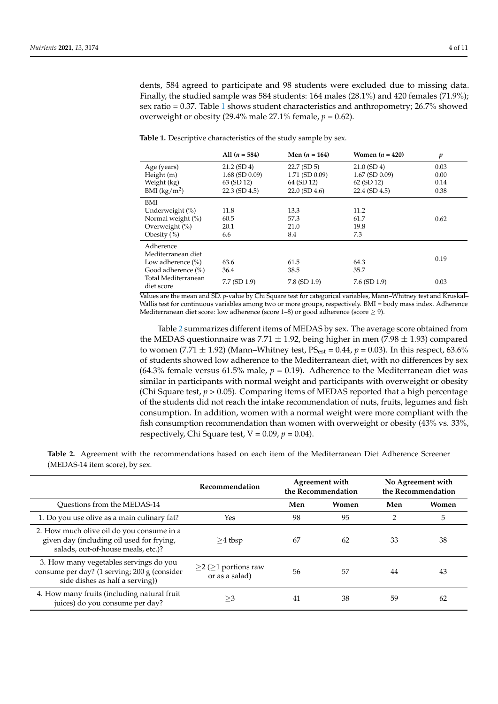dents, 584 agreed to participate and 98 students were excluded due to missing data. Finally, the studied sample was 584 students: 164 males (28.1%) and 420 females (71.9%); sex ratio = 0.37. Table [1](#page-3-0) shows student characteristics and anthropometry; 26.7% showed overweight or obesity  $(29.4\%$  male  $27.1\%$  female,  $p = 0.62$ ).

|                                   | All $(n = 584)$     | Men $(n = 164)$ | Women $(n = 420)$   | p    |  |
|-----------------------------------|---------------------|-----------------|---------------------|------|--|
| Age (years)                       | $21.2$ (SD 4)       | $22.7$ (SD 5)   | $21.0$ (SD 4)       | 0.03 |  |
| Height(m)                         | $1.68$ (SD $0.09$ ) | 1.71 (SD 0.09)  | $1.67$ (SD $0.09$ ) | 0.00 |  |
| Weight (kg)                       | 63 (SD 12)          | 64 (SD 12)      | 62 (SD 12)          | 0.14 |  |
| BMI $(kg/m2)$                     | $22.3$ (SD 4.5)     | $22.0$ (SD 4.6) | $22.4$ (SD $4.5$ )  | 0.38 |  |
| BMI                               |                     |                 |                     |      |  |
| Underweight (%)                   | 11.8                | 13.3            | 11.2                |      |  |
| Normal weight (%)                 | 60.5                | 57.3            | 61.7                | 0.62 |  |
| Overweight $(\% )$                | 20.1                | 21.0            | 19.8                |      |  |
| Obesity $(\%)$                    | 6.6                 | 8.4             | 7.3                 |      |  |
| Adherence                         |                     |                 |                     |      |  |
| Mediterranean diet                |                     |                 |                     |      |  |
| Low adherence $(\% )$             | 63.6                | 61.5            | 64.3                | 0.19 |  |
| Good adherence (%)                | 36.4                | 38.5            | 35.7                |      |  |
| Total Mediterranean<br>diet score | 7.7 (SD 1.9)        | $7.8$ (SD 1.9)  | $7.6$ (SD 1.9)      | 0.03 |  |

<span id="page-3-0"></span>**Table 1.** Descriptive characteristics of the study sample by sex.

Values are the mean and SD. *p*-value by Chi Square test for categorical variables, Mann–Whitney test and Kruskal– Wallis test for continuous variables among two or more groups, respectively. BMI = body mass index. Adherence Mediterranean diet score: low adherence (score 1–8) or good adherence (score  $\geq$  9).

Table [2](#page-4-0) summarizes different items of MEDAS by sex. The average score obtained from the MEDAS questionnaire was 7.71  $\pm$  1.92, being higher in men (7.98  $\pm$  1.93) compared to women (7.71  $\pm$  1.92) (Mann–Whitney test, PS<sub>est</sub> = 0.44,  $p$  = 0.03). In this respect, 63.6% of students showed low adherence to the Mediterranean diet, with no differences by sex (64.3% female versus 61.5% male,  $p = 0.19$ ). Adherence to the Mediterranean diet was similar in participants with normal weight and participants with overweight or obesity (Chi Square test,  $p > 0.05$ ). Comparing items of MEDAS reported that a high percentage of the students did not reach the intake recommendation of nuts, fruits, legumes and fish consumption. In addition, women with a normal weight were more compliant with the fish consumption recommendation than women with overweight or obesity (43% vs. 33%, respectively, Chi Square test,  $V = 0.09$ ,  $p = 0.04$ ).

**Table 2.** Agreement with the recommendations based on each item of the Mediterranean Diet Adherence Screener (MEDAS-14 item score), by sex.

|                                                                                                                              | Recommendation                                     | Agreement with<br>the Recommendation |       | No Agreement with<br>the Recommendation |       |
|------------------------------------------------------------------------------------------------------------------------------|----------------------------------------------------|--------------------------------------|-------|-----------------------------------------|-------|
| Ouestions from the MEDAS-14                                                                                                  |                                                    | Men                                  | Women | Men                                     | Women |
| 1. Do you use olive as a main culinary fat?                                                                                  | Yes                                                | 98                                   | 95    | $\mathfrak{D}$                          | 5     |
| 2. How much olive oil do you consume in a<br>given day (including oil used for frying,<br>salads, out-of-house meals, etc.)? | $>4$ tbsp                                          | 67                                   | 62    | 33                                      | 38    |
| 3. How many vegetables servings do you<br>consume per day? (1 serving; 200 g (consider<br>side dishes as half a serving))    | $\geq$ 2 ( $\geq$ 1 portions raw<br>or as a salad) | 56                                   | 57    | 44                                      | 43    |
| 4. How many fruits (including natural fruit<br>juices) do you consume per day?                                               | >3                                                 | 41                                   | 38    | 59                                      | 62    |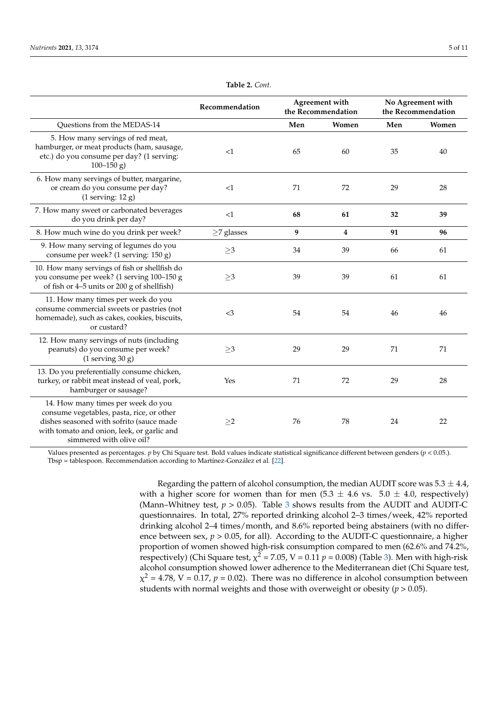<span id="page-4-0"></span>

|                                                                                                                                                                                                       | Recommendation   | Agreement with<br>the Recommendation |                | No Agreement with<br>the Recommendation |       |
|-------------------------------------------------------------------------------------------------------------------------------------------------------------------------------------------------------|------------------|--------------------------------------|----------------|-----------------------------------------|-------|
| Questions from the MEDAS-14                                                                                                                                                                           |                  | Men                                  | Women          | Men                                     | Women |
| 5. How many servings of red meat,<br>hamburger, or meat products (ham, sausage,<br>etc.) do you consume per day? (1 serving:<br>$100 - 150$ g)                                                        | <1               | 65                                   | 60             | 35                                      | 40    |
| 6. How many servings of butter, margarine,<br>or cream do you consume per day?<br>$(1$ serving: $12$ g)                                                                                               | <1               | 71                                   | 72             | 29                                      | 28    |
| 7. How many sweet or carbonated beverages<br>do you drink per day?                                                                                                                                    | <1               | 68                                   | 61             | 32                                      | 39    |
| 8. How much wine do you drink per week?                                                                                                                                                               | $\geq$ 7 glasses | 9                                    | $\overline{4}$ | 91                                      | 96    |
| 9. How many serving of legumes do you<br>consume per week? (1 serving: 150 g)                                                                                                                         | $\geq$ 3         | 34                                   | 39             | 66                                      | 61    |
| 10. How many servings of fish or shellfish do<br>you consume per week? (1 serving 100-150 g<br>of fish or 4-5 units or 200 g of shellfish)                                                            | ${\geq}3$        | 39                                   | 39             | 61                                      | 61    |
| 11. How many times per week do you<br>consume commercial sweets or pastries (not<br>homemade), such as cakes, cookies, biscuits,<br>or custard?                                                       | <3               | 54                                   | 54             | 46                                      | 46    |
| 12. How many servings of nuts (including<br>peanuts) do you consume per week?<br>$(1$ serving 30 g)                                                                                                   | $\geq$ 3         | 29                                   | 29             | 71                                      | 71    |
| 13. Do you preferentially consume chicken,<br>turkey, or rabbit meat instead of veal, pork,<br>hamburger or sausage?                                                                                  | Yes              | 71                                   | 72             | 29                                      | 28    |
| 14. How many times per week do you<br>consume vegetables, pasta, rice, or other<br>dishes seasoned with sofrito (sauce made<br>with tomato and onion, leek, or garlic and<br>simmered with olive oil? | $\geq$ 2         | 76                                   | 78             | 24                                      | 22    |

**Table 2.** *Cont.*

Values presented as percentages. *p* by Chi Square test. Bold values indicate statistical significance different between genders (*p* < 0.05.). Tbsp = tablespoon. Recommendation according to Martínez-González et al. [\[22\]](#page-8-17).

> Regarding the pattern of alcohol consumption, the median AUDIT score was  $5.3 \pm 4.4$ , with a higher score for women than for men  $(5.3 \pm 4.6 \text{ vs. } 5.0 \pm 4.0, \text{ respectively})$ (Mann–Whitney test,  $p > 0.05$ ). Table [3](#page-5-0) shows results from the AUDIT and AUDIT-C questionnaires. In total, 27% reported drinking alcohol 2–3 times/week, 42% reported drinking alcohol 2–4 times/month, and 8.6% reported being abstainers (with no difference between sex,  $p > 0.05$ , for all). According to the AUDIT-C questionnaire, a higher proportion of women showed high-risk consumption compared to men (62.6% and 74.2%, respectively) (Chi Square test,  $\chi^2$  = 7.05, V = 0.11  $p$  = 0.008) (Table [3\)](#page-5-0). Men with high-risk alcohol consumption showed lower adherence to the Mediterranean diet (Chi Square test,  $\chi^2$  = 4.78, V = 0.17,  $p$  = 0.02). There was no difference in alcohol consumption between students with normal weights and those with overweight or obesity (*p* > 0.05).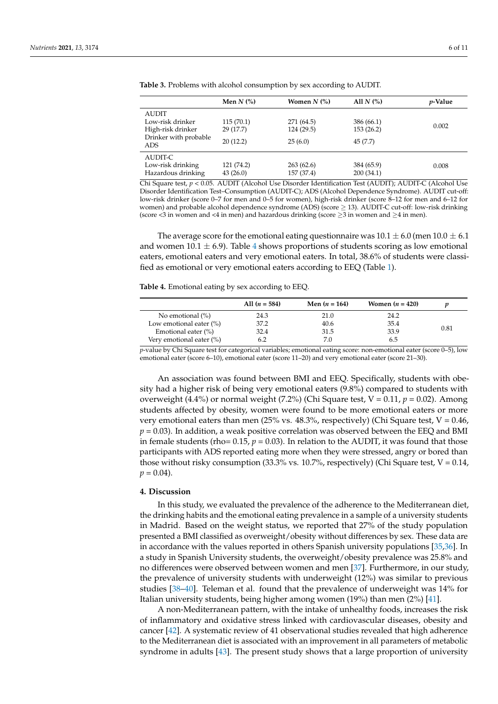|                              | Men $N$ $\left(\% \right)$ | Women $N$ (%) | All $N$ $\left(\% \right)$ | <i>p</i> -Value |
|------------------------------|----------------------------|---------------|----------------------------|-----------------|
| <b>AUDIT</b>                 |                            |               |                            |                 |
| Low-risk drinker             | 115(70.1)                  | 271 (64.5)    | 386 (66.1)                 |                 |
| High-risk drinker            | 29 (17.7)                  | 124 (29.5)    | 153(26.2)                  | 0.002           |
| Drinker with probable<br>ADS | 20(12.2)                   | 25(6.0)       | 45(7.7)                    |                 |
| AUDIT-C                      |                            |               |                            |                 |
| Low-risk drinking            | 121 (74.2)                 | 263(62.6)     | 384 (65.9)                 | 0.008           |
| Hazardous drinking           | 43(26.0)                   | 157 (37.4)    | 200(34.1)                  |                 |

<span id="page-5-0"></span>**Table 3.** Problems with alcohol consumption by sex according to AUDIT.

Chi Square test, *p* < 0.05. AUDIT (Alcohol Use Disorder Identification Test (AUDIT); AUDIT-C (Alcohol Use Disorder Identification Test–Consumption (AUDIT-C); ADS (Alcohol Dependence Syndrome). AUDIT cut-off: low-risk drinker (score 0–7 for men and 0–5 for women), high-risk drinker (score 8–12 for men and 6–12 for women) and probable alcohol dependence syndrome (ADS) (score ≥ 13). AUDIT-C cut-off: low-risk drinking (score <3 in women and <4 in men) and hazardous drinking (score  $\geq$ 3 in women and  $\geq$ 4 in men).

The average score for the emotional eating questionnaire was  $10.1 \pm 6.0$  (men  $10.0 \pm 6.1$ ) and women 10.1  $\pm$  6.9). Table [4](#page-5-1) shows proportions of students scoring as low emotional eaters, emotional eaters and very emotional eaters. In total, 38.6% of students were classified as emotional or very emotional eaters according to EEQ (Table [1\)](#page-3-0).

<span id="page-5-1"></span>**Table 4.** Emotional eating by sex according to EEQ.

|                            | All $(n = 584)$ | Men $(n = 164)$ | Women $(n = 420)$ |      |
|----------------------------|-----------------|-----------------|-------------------|------|
| No emotional $(\%)$        | 24.3            | 21.0            | 24.2              |      |
| Low emotional eater $(\%)$ | 37.2            | 40.6            | 35.4              |      |
| Emotional eater (%)        | 32.4            | 31.5            | 33.9              | 0.81 |
| Very emotional eater (%)   | 6.2             | 7.0             | 6.5               |      |

*p*-value by Chi Square test for categorical variables; emotional eating score: non-emotional eater (score 0–5), low emotional eater (score 6–10), emotional eater (score 11–20) and very emotional eater (score 21–30).

An association was found between BMI and EEQ. Specifically, students with obesity had a higher risk of being very emotional eaters (9.8%) compared to students with overweight (4.4%) or normal weight (7.2%) (Chi Square test, V = 0.11, *p* = 0.02). Among students affected by obesity, women were found to be more emotional eaters or more very emotional eaters than men (25% vs. 48.3%, respectively) (Chi Square test,  $V = 0.46$ ,  $p = 0.03$ ). In addition, a weak positive correlation was observed between the EEQ and BMI in female students (rho=  $0.15$ ,  $p = 0.03$ ). In relation to the AUDIT, it was found that those participants with ADS reported eating more when they were stressed, angry or bored than those without risky consumption  $(33.3\% \text{ vs. } 10.7\%$ , respectively) (Chi Square test,  $V = 0.14$ ,  $p = 0.04$ ).

#### **4. Discussion**

In this study, we evaluated the prevalence of the adherence to the Mediterranean diet, the drinking habits and the emotional eating prevalence in a sample of a university students in Madrid. Based on the weight status, we reported that 27% of the study population presented a BMI classified as overweight/obesity without differences by sex. These data are in accordance with the values reported in others Spanish university populations [\[35,](#page-9-2)[36\]](#page-9-3). In a study in Spanish University students, the overweight/obesity prevalence was 25.8% and no differences were observed between women and men [\[37\]](#page-9-4). Furthermore, in our study, the prevalence of university students with underweight (12%) was similar to previous studies [\[38–](#page-9-5)[40\]](#page-9-6). Teleman et al. found that the prevalence of underweight was 14% for Italian university students, being higher among women (19%) than men (2%) [\[41\]](#page-9-7).

A non-Mediterranean pattern, with the intake of unhealthy foods, increases the risk of inflammatory and oxidative stress linked with cardiovascular diseases, obesity and cancer [\[42\]](#page-9-8). A systematic review of 41 observational studies revealed that high adherence to the Mediterranean diet is associated with an improvement in all parameters of metabolic syndrome in adults [\[43\]](#page-9-9). The present study shows that a large proportion of university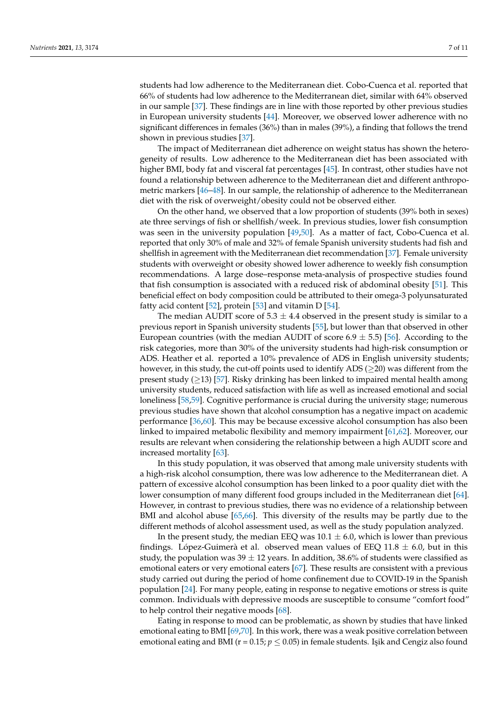students had low adherence to the Mediterranean diet. Cobo-Cuenca et al. reported that 66% of students had low adherence to the Mediterranean diet, similar with 64% observed in our sample [\[37\]](#page-9-4). These findings are in line with those reported by other previous studies in European university students [\[44\]](#page-9-10). Moreover, we observed lower adherence with no significant differences in females (36%) than in males (39%), a finding that follows the trend shown in previous studies [\[37\]](#page-9-4).

The impact of Mediterranean diet adherence on weight status has shown the heterogeneity of results. Low adherence to the Mediterranean diet has been associated with higher BMI, body fat and visceral fat percentages [\[45\]](#page-9-11). In contrast, other studies have not found a relationship between adherence to the Mediterranean diet and different anthropometric markers [\[46](#page-9-12)[–48\]](#page-9-13). In our sample, the relationship of adherence to the Mediterranean diet with the risk of overweight/obesity could not be observed either.

On the other hand, we observed that a low proportion of students (39% both in sexes) ate three servings of fish or shellfish/week. In previous studies, lower fish consumption was seen in the university population [\[49](#page-9-14)[,50\]](#page-9-15). As a matter of fact, Cobo-Cuenca et al. reported that only 30% of male and 32% of female Spanish university students had fish and shellfish in agreement with the Mediterranean diet recommendation [\[37\]](#page-9-4). Female university students with overweight or obesity showed lower adherence to weekly fish consumption recommendations. A large dose–response meta-analysis of prospective studies found that fish consumption is associated with a reduced risk of abdominal obesity [\[51\]](#page-9-16). This beneficial effect on body composition could be attributed to their omega-3 polyunsaturated fatty acid content [\[52\]](#page-9-17), protein [\[53\]](#page-9-18) and vitamin D [\[54\]](#page-9-19).

The median AUDIT score of  $5.3 \pm 4.4$  observed in the present study is similar to a previous report in Spanish university students [\[55\]](#page-9-20), but lower than that observed in other European countries (with the median AUDIT of score  $6.9 \pm 5.5$ ) [\[56\]](#page-9-21). According to the risk categories, more than 30% of the university students had high-risk consumption or ADS. Heather et al. reported a 10% prevalence of ADS in English university students; however, in this study, the cut-off points used to identify ADS ( $\geq$ 20) was different from the present study  $(≥13)$  [\[57\]](#page-9-22). Risky drinking has been linked to impaired mental health among university students, reduced satisfaction with life as well as increased emotional and social loneliness [\[58,](#page-10-0)[59\]](#page-10-1). Cognitive performance is crucial during the university stage; numerous previous studies have shown that alcohol consumption has a negative impact on academic performance [\[36](#page-9-3)[,60\]](#page-10-2). This may be because excessive alcohol consumption has also been linked to impaired metabolic flexibility and memory impairment [\[61](#page-10-3)[,62\]](#page-10-4). Moreover, our results are relevant when considering the relationship between a high AUDIT score and increased mortality [\[63\]](#page-10-5).

In this study population, it was observed that among male university students with a high-risk alcohol consumption, there was low adherence to the Mediterranean diet. A pattern of excessive alcohol consumption has been linked to a poor quality diet with the lower consumption of many different food groups included in the Mediterranean diet [\[64\]](#page-10-6). However, in contrast to previous studies, there was no evidence of a relationship between BMI and alcohol abuse [\[65,](#page-10-7)[66\]](#page-10-8). This diversity of the results may be partly due to the different methods of alcohol assessment used, as well as the study population analyzed.

In the present study, the median EEQ was  $10.1 \pm 6.0$ , which is lower than previous findings. López-Guimerà et al. observed mean values of EEQ  $11.8 \pm 6.0$ , but in this study, the population was  $39 \pm 12$  years. In addition, 38.6% of students were classified as emotional eaters or very emotional eaters [\[67\]](#page-10-9). These results are consistent with a previous study carried out during the period of home confinement due to COVID-19 in the Spanish population [\[24\]](#page-8-19). For many people, eating in response to negative emotions or stress is quite common. Individuals with depressive moods are susceptible to consume "comfort food" to help control their negative moods [\[68\]](#page-10-10).

Eating in response to mood can be problematic, as shown by studies that have linked emotional eating to BMI [\[69,](#page-10-11)[70\]](#page-10-12). In this work, there was a weak positive correlation between emotional eating and BMI ( $r = 0.15$ ;  $p \le 0.05$ ) in female students. Işik and Cengiz also found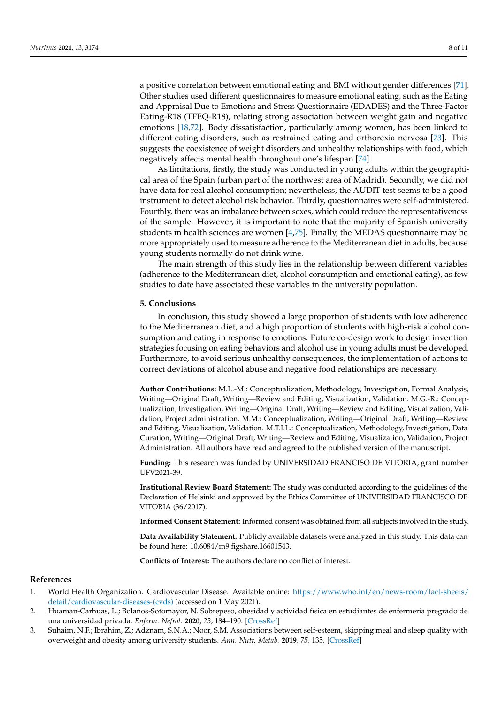Other studies used different questionnaires to measure emotional eating, such as the Eating and Appraisal Due to Emotions and Stress Questionnaire (EDADES) and the Three-Factor Eating-R18 (TFEQ-R18), relating strong association between weight gain and negative emotions [\[18](#page-8-13)[,72\]](#page-10-14). Body dissatisfaction, particularly among women, has been linked to different eating disorders, such as restrained eating and orthorexia nervosa [\[73\]](#page-10-15). This suggests the coexistence of weight disorders and unhealthy relationships with food, which negatively affects mental health throughout one's lifespan [\[74\]](#page-10-16).

As limitations, firstly, the study was conducted in young adults within the geographical area of the Spain (urban part of the northwest area of Madrid). Secondly, we did not have data for real alcohol consumption; nevertheless, the AUDIT test seems to be a good instrument to detect alcohol risk behavior. Thirdly, questionnaires were self-administered. Fourthly, there was an imbalance between sexes, which could reduce the representativeness of the sample. However, it is important to note that the majority of Spanish university students in health sciences are women [\[4](#page-8-0)[,75\]](#page-10-17). Finally, the MEDAS questionnaire may be more appropriately used to measure adherence to the Mediterranean diet in adults, because young students normally do not drink wine.

The main strength of this study lies in the relationship between different variables (adherence to the Mediterranean diet, alcohol consumption and emotional eating), as few studies to date have associated these variables in the university population.

## **5. Conclusions**

In conclusion, this study showed a large proportion of students with low adherence to the Mediterranean diet, and a high proportion of students with high-risk alcohol consumption and eating in response to emotions. Future co-design work to design invention strategies focusing on eating behaviors and alcohol use in young adults must be developed. Furthermore, to avoid serious unhealthy consequences, the implementation of actions to correct deviations of alcohol abuse and negative food relationships are necessary.

**Author Contributions:** M.L.-M.: Conceptualization, Methodology, Investigation, Formal Analysis, Writing—Original Draft, Writing—Review and Editing, Visualization, Validation. M.G.-R.: Conceptualization, Investigation, Writing—Original Draft, Writing—Review and Editing, Visualization, Validation, Project administration. M.M.: Conceptualization, Writing—Original Draft, Writing—Review and Editing, Visualization, Validation. M.T.I.L.: Conceptualization, Methodology, Investigation, Data Curation, Writing—Original Draft, Writing—Review and Editing, Visualization, Validation, Project Administration. All authors have read and agreed to the published version of the manuscript.

**Funding:** This research was funded by UNIVERSIDAD FRANCISO DE VITORIA, grant number UFV2021-39.

**Institutional Review Board Statement:** The study was conducted according to the guidelines of the Declaration of Helsinki and approved by the Ethics Committee of UNIVERSIDAD FRANCISCO DE VITORIA (36/2017).

**Informed Consent Statement:** Informed consent was obtained from all subjects involved in the study.

**Data Availability Statement:** Publicly available datasets were analyzed in this study. This data can be found here: 10.6084/m9.figshare.16601543.

**Conflicts of Interest:** The authors declare no conflict of interest.

# **References**

- <span id="page-7-0"></span>1. World Health Organization. Cardiovascular Disease. Available online: [https://www.who.int/en/news-room/fact-sheets/](https://www.who.int/en/news-room/fact-sheets/detail/cardiovascular-diseases-(cvds)) [detail/cardiovascular-diseases-\(cvds\)](https://www.who.int/en/news-room/fact-sheets/detail/cardiovascular-diseases-(cvds)) (accessed on 1 May 2021).
- <span id="page-7-1"></span>2. Huaman-Carhuas, L.; Bolaños-Sotomayor, N. Sobrepeso, obesidad y actividad física en estudiantes de enfermería pregrado de una universidad privada. *Enferm. Nefrol.* **2020**, *23*, 184–190. [\[CrossRef\]](http://doi.org/10.37551/S2254-28842020018)
- 3. Suhaim, N.F.; Ibrahim, Z.; Adznam, S.N.A.; Noor, S.M. Associations between self-esteem, skipping meal and sleep quality with overweight and obesity among university students. *Ann. Nutr. Metab.* **2019**, *75*, 135. [\[CrossRef\]](http://doi.org/10.1159/000501751)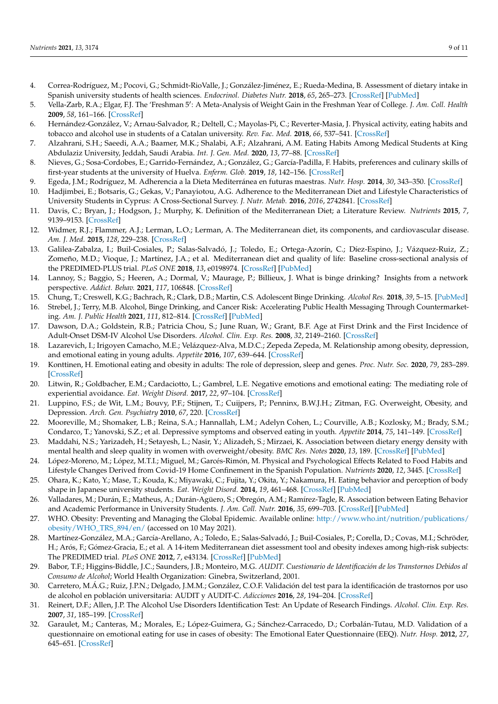- <span id="page-8-0"></span>4. Correa-Rodríguez, M.; Pocovi, G.; Schmidt-RioValle, J.; González-Jiménez, E.; Rueda-Medina, B. Assessment of dietary intake in Spanish university students of health sciences. *Endocrinol. Diabetes Nutr.* **2018**, *65*, 265–273. [\[CrossRef\]](http://doi.org/10.1016/j.endinu.2018.01.005) [\[PubMed\]](http://www.ncbi.nlm.nih.gov/pubmed/29599102)
- <span id="page-8-1"></span>5. Vella-Zarb, R.A.; Elgar, F.J. The 'Freshman 5': A Meta-Analysis of Weight Gain in the Freshman Year of College. *J. Am. Coll. Health* **2009**, *58*, 161–166. [\[CrossRef\]](http://doi.org/10.1080/07448480903221392)
- 6. Hernández-González, V.; Arnau-Salvador, R.; Deltell, C.; Mayolas-Pi, C.; Reverter-Masia, J. Physical activity, eating habits and tobacco and alcohol use in students of a Catalan university. *Rev. Fac. Med.* **2018**, *66*, 537–541. [\[CrossRef\]](http://doi.org/10.15446/revfacmed.v66n4.61896)
- <span id="page-8-2"></span>7. Alzahrani, S.H.; Saeedi, A.A.; Baamer, M.K.; Shalabi, A.F.; Alzahrani, A.M. Eating Habits Among Medical Students at King Abdulaziz University, Jeddah, Saudi Arabia. *Int. J. Gen. Med.* **2020**, *13*, 77–88. [\[CrossRef\]](http://doi.org/10.2147/IJGM.S246296)
- <span id="page-8-3"></span>8. Nieves, G.; Sosa-Cordobes, E.; Garrido-Fernández, A.; González, G.; García-Padilla, F. Habits, preferences and culinary skills of first-year students at the university of Huelva. *Enferm. Glob.* **2019**, *18*, 142–156. [\[CrossRef\]](http://doi.org/10.6018/eglobal.18.3.332791)
- <span id="page-8-4"></span>9. Egeda, J.M.; Rodríguez, M. Adherencia a la Dieta Mediterránea en futuras maestras. *Nutr. Hosp.* **2014**, *30*, 343–350. [\[CrossRef\]](http://doi.org/10.3305/nh.2014.30.2.7585)
- <span id="page-8-5"></span>10. Hadjimbei, E.; Botsaris, G.; Gekas, V.; Panayiotou, A.G. Adherence to the Mediterranean Diet and Lifestyle Characteristics of University Students in Cyprus: A Cross-Sectional Survey. *J. Nutr. Metab.* **2016**, *2016*, 2742841. [\[CrossRef\]](http://doi.org/10.1155/2016/2742841)
- <span id="page-8-6"></span>11. Davis, C.; Bryan, J.; Hodgson, J.; Murphy, K. Definition of the Mediterranean Diet; a Literature Review. *Nutrients* **2015**, *7*, 9139–9153. [\[CrossRef\]](http://doi.org/10.3390/nu7115459)
- <span id="page-8-7"></span>12. Widmer, R.J.; Flammer, A.J.; Lerman, L.O.; Lerman, A. The Mediterranean diet, its components, and cardiovascular disease. *Am. J. Med.* **2015**, *128*, 229–238. [\[CrossRef\]](http://doi.org/10.1016/j.amjmed.2014.10.014)
- <span id="page-8-8"></span>13. Galilea-Zabalza, I.; Buil-Cosiales, P.; Salas-Salvadó, J.; Toledo, E.; Ortega-Azorín, C.; Díez-Espino, J.; Vázquez-Ruiz, Z.; Zomeño, M.D.; Vioque, J.; Martínez, J.A.; et al. Mediterranean diet and quality of life: Baseline cross-sectional analysis of the PREDIMED-PLUS trial. *PLoS ONE* **2018**, *13*, e0198974. [\[CrossRef\]](http://doi.org/10.1371/journal.pone.0198974) [\[PubMed\]](http://www.ncbi.nlm.nih.gov/pubmed/29912978)
- <span id="page-8-9"></span>14. Lannoy, S.; Baggio, S.; Heeren, A.; Dormal, V.; Maurage, P.; Billieux, J. What is binge drinking? Insights from a network perspective. *Addict. Behav.* **2021**, *117*, 106848. [\[CrossRef\]](http://doi.org/10.1016/j.addbeh.2021.106848)
- <span id="page-8-10"></span>15. Chung, T.; Creswell, K.G.; Bachrach, R.; Clark, D.B.; Martin, C.S. Adolescent Binge Drinking. *Alcohol Res.* **2018**, *39*, 5–15. [\[PubMed\]](http://www.ncbi.nlm.nih.gov/pubmed/30557142)
- <span id="page-8-11"></span>16. Strebel, J.; Terry, M.B. Alcohol, Binge Drinking, and Cancer Risk: Accelerating Public Health Messaging Through Countermarketing. *Am. J. Public Health* **2021**, *111*, 812–814. [\[CrossRef\]](http://doi.org/10.2105/AJPH.2021.306233) [\[PubMed\]](http://www.ncbi.nlm.nih.gov/pubmed/33826398)
- <span id="page-8-12"></span>17. Dawson, D.A.; Goldstein, R.B.; Patricia Chou, S.; June Ruan, W.; Grant, B.F. Age at First Drink and the First Incidence of Adult-Onset DSM-IV Alcohol Use Disorders. *Alcohol. Clin. Exp. Res.* **2008**, *32*, 2149–2160. [\[CrossRef\]](http://doi.org/10.1111/j.1530-0277.2008.00806.x)
- <span id="page-8-13"></span>18. Lazarevich, I.; Irigoyen Camacho, M.E.; Velázquez-Alva, M.D.C.; Zepeda Zepeda, M. Relationship among obesity, depression, and emotional eating in young adults. *Appetite* **2016**, *107*, 639–644. [\[CrossRef\]](http://doi.org/10.1016/j.appet.2016.09.011)
- <span id="page-8-14"></span>19. Konttinen, H. Emotional eating and obesity in adults: The role of depression, sleep and genes. *Proc. Nutr. Soc.* **2020**, *79*, 283–289. [\[CrossRef\]](http://doi.org/10.1017/S0029665120000166)
- <span id="page-8-15"></span>20. Litwin, R.; Goldbacher, E.M.; Cardaciotto, L.; Gambrel, L.E. Negative emotions and emotional eating: The mediating role of experiential avoidance. *Eat. Weight Disord.* **2017**, *22*, 97–104. [\[CrossRef\]](http://doi.org/10.1007/s40519-016-0301-9)
- <span id="page-8-16"></span>21. Luppino, F.S.; de Wit, L.M.; Bouvy, P.F.; Stijnen, T.; Cuijpers, P.; Penninx, B.W.J.H.; Zitman, F.G. Overweight, Obesity, and Depression. *Arch. Gen. Psychiatry* **2010**, *67*, 220. [\[CrossRef\]](http://doi.org/10.1001/archgenpsychiatry.2010.2)
- <span id="page-8-17"></span>22. Mooreville, M.; Shomaker, L.B.; Reina, S.A.; Hannallah, L.M.; Adelyn Cohen, L.; Courville, A.B.; Kozlosky, M.; Brady, S.M.; Condarco, T.; Yanovski, S.Z.; et al. Depressive symptoms and observed eating in youth. *Appetite* **2014**, *75*, 141–149. [\[CrossRef\]](http://doi.org/10.1016/j.appet.2013.12.024)
- <span id="page-8-18"></span>23. Maddahi, N.S.; Yarizadeh, H.; Setayesh, L.; Nasir, Y.; Alizadeh, S.; Mirzaei, K. Association between dietary energy density with mental health and sleep quality in women with overweight/obesity. *BMC Res. Notes* **2020**, *13*, 189. [\[CrossRef\]](http://doi.org/10.1186/s13104-020-05025-1) [\[PubMed\]](http://www.ncbi.nlm.nih.gov/pubmed/32228677)
- <span id="page-8-19"></span>24. López-Moreno, M.; López, M.T.I.; Miguel, M.; Garcés-Rimón, M. Physical and Psychological Effects Related to Food Habits and Lifestyle Changes Derived from Covid-19 Home Confinement in the Spanish Population. *Nutrients* **2020**, *12*, 3445. [\[CrossRef\]](http://doi.org/10.3390/nu12113445)
- <span id="page-8-20"></span>25. Ohara, K.; Kato, Y.; Mase, T.; Kouda, K.; Miyawaki, C.; Fujita, Y.; Okita, Y.; Nakamura, H. Eating behavior and perception of body shape in Japanese university students. *Eat. Weight Disord.* **2014**, *19*, 461–468. [\[CrossRef\]](http://doi.org/10.1007/s40519-014-0130-7) [\[PubMed\]](http://www.ncbi.nlm.nih.gov/pubmed/24849671)
- <span id="page-8-21"></span>26. Valladares, M.; Durán, E.; Matheus, A.; Durán-Agüero, S.; Obregón, A.M.; Ramírez-Tagle, R. Association between Eating Behavior and Academic Performance in University Students. *J. Am. Coll. Nutr.* **2016**, *35*, 699–703. [\[CrossRef\]](http://doi.org/10.1080/07315724.2016.1157526) [\[PubMed\]](http://www.ncbi.nlm.nih.gov/pubmed/27736367)
- <span id="page-8-22"></span>27. WHO. Obesity: Preventing and Managing the Global Epidemic. Available online: [http://www.who.int/nutrition/publications/](http://www.who.int/nutrition/publications/obesity/WHO_TRS_894/en/) [obesity/WHO\\_TRS\\_894/en/](http://www.who.int/nutrition/publications/obesity/WHO_TRS_894/en/) (accessed on 10 May 2021).
- <span id="page-8-23"></span>28. Martínez-González, M.A.; García-Arellano, A.; Toledo, E.; Salas-Salvadó, J.; Buil-Cosiales, P.; Corella, D.; Covas, M.I.; Schröder, H.; Arós, F.; Gómez-Gracia, E.; et al. A 14-item Mediterranean diet assessment tool and obesity indexes among high-risk subjects: The PREDIMED trial. *PLoS ONE* **2012**, *7*, e43134. [\[CrossRef\]](http://doi.org/10.1371/journal.pone.0043134) [\[PubMed\]](http://www.ncbi.nlm.nih.gov/pubmed/22905215)
- <span id="page-8-24"></span>29. Babor, T.F.; Higgins-Biddle, J.C.; Saunders, J.B.; Monteiro, M.G. *AUDIT. Cuestionario de Identificación de los Transtornos Debidos al Consumo de Alcohol*; World Health Organization: Ginebra, Switzerland, 2001.
- <span id="page-8-25"></span>30. Carretero, M.Á.G.; Ruiz, J.P.N.; Delgado, J.M.M.; González, C.O.F. Validación del test para la identificación de trastornos por uso de alcohol en población universitaria: AUDIT y AUDIT-C. *Adicciones* **2016**, *28*, 194–204. [\[CrossRef\]](http://doi.org/10.20882/adicciones.775)
- <span id="page-8-26"></span>31. Reinert, D.F.; Allen, J.P. The Alcohol Use Disorders Identification Test: An Update of Research Findings. *Alcohol. Clin. Exp. Res.* **2007**, *31*, 185–199. [\[CrossRef\]](http://doi.org/10.1111/j.1530-0277.2006.00295.x)
- <span id="page-8-27"></span>32. Garaulet, M.; Canteras, M.; Morales, E.; López-Guimera, G.; Sánchez-Carracedo, D.; Corbalán-Tutau, M.D. Validation of a questionnaire on emotional eating for use in cases of obesity: The Emotional Eater Questionnaire (EEQ). *Nutr. Hosp.* **2012**, *27*, 645–651. [\[CrossRef\]](http://doi.org/10.1590/S0212-16112012000200043)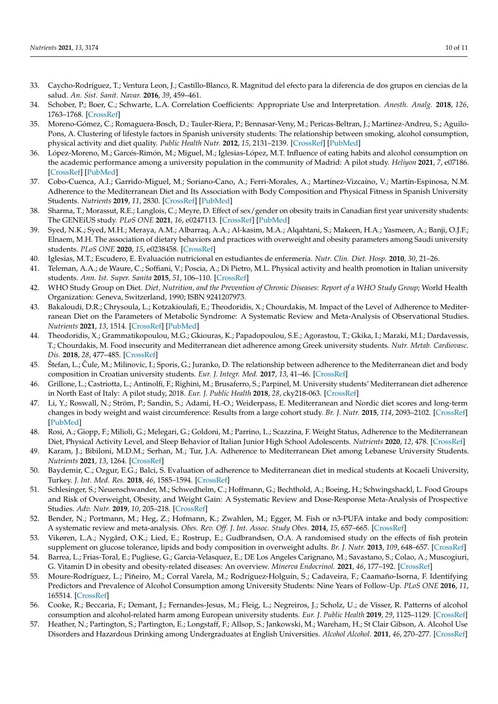- <span id="page-9-0"></span>33. Caycho-Rodríguez, T.; Ventura Leon, J.; Castillo-Blanco, R. Magnitud del efecto para la diferencia de dos grupos en ciencias de la salud. *An. Sist. Sanit. Navar.* **2016**, *39*, 459–461.
- <span id="page-9-1"></span>34. Schober, P.; Boer, C.; Schwarte, L.A. Correlation Coefficients: Appropriate Use and Interpretation. *Anesth. Analg.* **2018**, *126*, 1763–1768. [\[CrossRef\]](http://doi.org/10.1213/ANE.0000000000002864)
- <span id="page-9-2"></span>35. Moreno-Gómez, C.; Romaguera-Bosch, D.; Tauler-Riera, P.; Bennasar-Veny, M.; Pericas-Beltran, J.; Martinez-Andreu, S.; Aguilo-Pons, A. Clustering of lifestyle factors in Spanish university students: The relationship between smoking, alcohol consumption, physical activity and diet quality. *Public Health Nutr.* **2012**, *15*, 2131–2139. [\[CrossRef\]](http://doi.org/10.1017/S1368980012000080) [\[PubMed\]](http://www.ncbi.nlm.nih.gov/pubmed/22314203)
- <span id="page-9-3"></span>36. López-Moreno, M.; Garcés-Rimón, M.; Miguel, M.; Iglesias-López, M.T. Influence of eating habits and alcohol consumption on the academic performance among a university population in the community of Madrid: A pilot study. *Heliyon* **2021**, *7*, e07186. [\[CrossRef\]](http://doi.org/10.1016/j.heliyon.2021.e07186) [\[PubMed\]](http://www.ncbi.nlm.nih.gov/pubmed/34169161)
- <span id="page-9-4"></span>37. Cobo-Cuenca, A.I.; Garrido-Miguel, M.; Soriano-Cano, A.; Ferri-Morales, A.; Martínez-Vizcaíno, V.; Martín-Espinosa, N.M. Adherence to the Mediterranean Diet and Its Association with Body Composition and Physical Fitness in Spanish University Students. *Nutrients* **2019**, *11*, 2830. [\[CrossRef\]](http://doi.org/10.3390/nu11112830) [\[PubMed\]](http://www.ncbi.nlm.nih.gov/pubmed/31752296)
- <span id="page-9-5"></span>38. Sharma, T.; Morassut, R.E.; Langlois, C.; Meyre, D. Effect of sex/gender on obesity traits in Canadian first year university students: The GENEiUS study. *PLoS ONE* **2021**, *16*, e0247113. [\[CrossRef\]](http://doi.org/10.1371/journal.pone.0247113) [\[PubMed\]](http://www.ncbi.nlm.nih.gov/pubmed/33592058)
- 39. Syed, N.K.; Syed, M.H.; Meraya, A.M.; Albarraq, A.A.; Al-kasim, M.A.; Alqahtani, S.; Makeen, H.A.; Yasmeen, A.; Banji, O.J.F.; Elnaem, M.H. The association of dietary behaviors and practices with overweight and obesity parameters among Saudi university students. *PLoS ONE* **2020**, *15*, e0238458. [\[CrossRef\]](http://doi.org/10.1371/journal.pone.0238458)
- <span id="page-9-6"></span>40. Iglesias, M.T.; Escudero, E. Evaluación nutricional en estudiantes de enfermería. *Nutr. Clin. Diet. Hosp.* **2010**, *30*, 21–26.
- <span id="page-9-7"></span>41. Teleman, A.A.; de Waure, C.; Soffiani, V.; Poscia, A.; Di Pietro, M.L. Physical activity and health promotion in Italian university students. *Ann. Ist. Super. Sanita* **2015**, *51*, 106–110. [\[CrossRef\]](http://doi.org/10.4415/ANN_15_02_06)
- <span id="page-9-8"></span>42. WHO Study Group on Diet. *Diet, Nutrition, and the Prevention of Chronic Diseases: Report of a WHO Study Group*; World Health Organization: Geneva, Switzerland, 1990; ISBN 9241207973.
- <span id="page-9-9"></span>43. Bakaloudi, D.R.; Chrysoula, L.; Kotzakioulafi, E.; Theodoridis, X.; Chourdakis, M. Impact of the Level of Adherence to Mediterranean Diet on the Parameters of Metabolic Syndrome: A Systematic Review and Meta-Analysis of Observational Studies. *Nutrients* **2021**, *13*, 1514. [\[CrossRef\]](http://doi.org/10.3390/nu13051514) [\[PubMed\]](http://www.ncbi.nlm.nih.gov/pubmed/33946280)
- <span id="page-9-10"></span>44. Theodoridis, X.; Grammatikopoulou, M.G.; Gkiouras, K.; Papadopoulou, S.E.; Agorastou, T.; Gkika, I.; Maraki, M.I.; Dardavessis, T.; Chourdakis, M. Food insecurity and Mediterranean diet adherence among Greek university students. *Nutr. Metab. Cardiovasc. Dis.* **2018**, *28*, 477–485. [\[CrossRef\]](http://doi.org/10.1016/j.numecd.2018.02.007)
- <span id="page-9-11"></span>45. Štefan, L.; Čule, M.; Milinovic, I.; Sporis, G.; Juranko, D. The relationship between adherence to the Mediterranean diet and body composition in Croatian university students. *Eur. J. Integr. Med.* **2017**, *13*, 41–46. [\[CrossRef\]](http://doi.org/10.1016/j.eujim.2017.07.003)
- <span id="page-9-12"></span>46. Grillone, L.; Castriotta, L.; Antinolfi, F.; Righini, M.; Brusaferro, S.; Parpinel, M. University students' Mediterranean diet adherence in North East of Italy: A pilot study, 2018. *Eur. J. Public Health* **2018**, *28*, cky218-063. [\[CrossRef\]](http://doi.org/10.1093/eurpub/cky218.063)
- 47. Li, Y.; Roswall, N.; Ström, P.; Sandin, S.; Adami, H.-O.; Weiderpass, E. Mediterranean and Nordic diet scores and long-term changes in body weight and waist circumference: Results from a large cohort study. *Br. J. Nutr.* **2015**, *114*, 2093–2102. [\[CrossRef\]](http://doi.org/10.1017/S0007114515003840) [\[PubMed\]](http://www.ncbi.nlm.nih.gov/pubmed/26458747)
- <span id="page-9-13"></span>48. Rosi, A.; Giopp, F.; Milioli, G.; Melegari, G.; Goldoni, M.; Parrino, L.; Scazzina, F. Weight Status, Adherence to the Mediterranean Diet, Physical Activity Level, and Sleep Behavior of Italian Junior High School Adolescents. *Nutrients* **2020**, *12*, 478. [\[CrossRef\]](http://doi.org/10.3390/nu12020478)
- <span id="page-9-14"></span>49. Karam, J.; Bibiloni, M.D.M.; Serhan, M.; Tur, J.A. Adherence to Mediterranean Diet among Lebanese University Students. *Nutrients* **2021**, *13*, 1264. [\[CrossRef\]](http://doi.org/10.3390/nu13041264)
- <span id="page-9-15"></span>50. Baydemir, C.; Ozgur, E.G.; Balci, S. Evaluation of adherence to Mediterranean diet in medical students at Kocaeli University, Turkey. *J. Int. Med. Res.* **2018**, *46*, 1585–1594. [\[CrossRef\]](http://doi.org/10.1177/0300060518757158)
- <span id="page-9-16"></span>51. Schlesinger, S.; Neuenschwander, M.; Schwedhelm, C.; Hoffmann, G.; Bechthold, A.; Boeing, H.; Schwingshackl, L. Food Groups and Risk of Overweight, Obesity, and Weight Gain: A Systematic Review and Dose-Response Meta-Analysis of Prospective Studies. *Adv. Nutr.* **2019**, *10*, 205–218. [\[CrossRef\]](http://doi.org/10.1093/advances/nmy092)
- <span id="page-9-17"></span>52. Bender, N.; Portmann, M.; Heg, Z.; Hofmann, K.; Zwahlen, M.; Egger, M. Fish or n3-PUFA intake and body composition: A systematic review and meta-analysis. *Obes. Rev. Off. J. Int. Assoc. Study Obes.* **2014**, *15*, 657–665. [\[CrossRef\]](http://doi.org/10.1111/obr.12189)
- <span id="page-9-18"></span>53. Vikøren, L.A.; Nygård, O.K.; Lied, E.; Rostrup, E.; Gudbrandsen, O.A. A randomised study on the effects of fish protein supplement on glucose tolerance, lipids and body composition in overweight adults. *Br. J. Nutr.* **2013**, *109*, 648–657. [\[CrossRef\]](http://doi.org/10.1017/S0007114512001717)
- <span id="page-9-19"></span>54. Barrea, L.; Frias-Toral, E.; Pugliese, G.; Garcia-Velasquez, E.; DE Los Angeles Carignano, M.; Savastano, S.; Colao, A.; Muscogiuri, G. Vitamin D in obesity and obesity-related diseases: An overview. *Minerva Endocrinol.* **2021**, *46*, 177–192. [\[CrossRef\]](http://doi.org/10.23736/S2724-6507.20.03299-X)
- <span id="page-9-20"></span>55. Moure-Rodríguez, L.; Piñeiro, M.; Corral Varela, M.; Rodríguez-Holguín, S.; Cadaveira, F.; Caamaño-Isorna, F. Identifying Predictors and Prevalence of Alcohol Consumption among University Students: Nine Years of Follow-Up. *PLoS ONE* **2016**, *11*, 165514. [\[CrossRef\]](http://doi.org/10.1371/journal.pone.0165514)
- <span id="page-9-21"></span>56. Cooke, R.; Beccaria, F.; Demant, J.; Fernandes-Jesus, M.; Fleig, L.; Negreiros, J.; Scholz, U.; de Visser, R. Patterns of alcohol consumption and alcohol-related harm among European university students. *Eur. J. Public Health* **2019**, *29*, 1125–1129. [\[CrossRef\]](http://doi.org/10.1093/eurpub/ckz067)
- <span id="page-9-22"></span>57. Heather, N.; Partington, S.; Partington, E.; Longstaff, F.; Allsop, S.; Jankowski, M.; Wareham, H.; St Clair Gibson, A. Alcohol Use Disorders and Hazardous Drinking among Undergraduates at English Universities. *Alcohol Alcohol.* **2011**, *46*, 270–277. [\[CrossRef\]](http://doi.org/10.1093/alcalc/agr024)